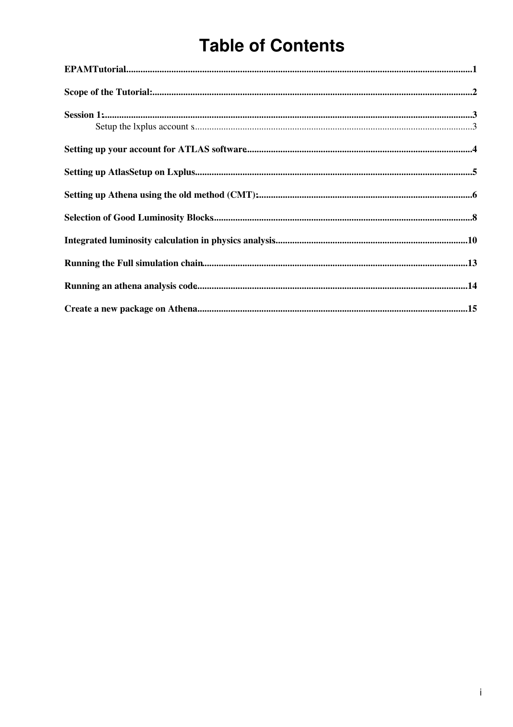# **Table of Contents**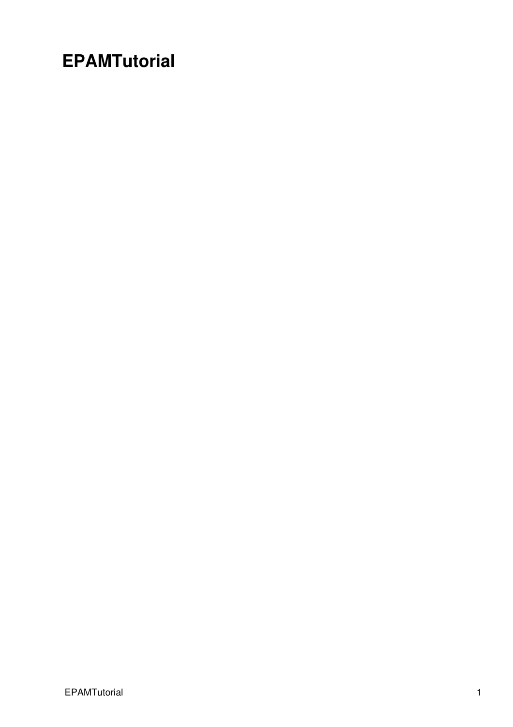## <span id="page-1-0"></span>**EPAMTutorial**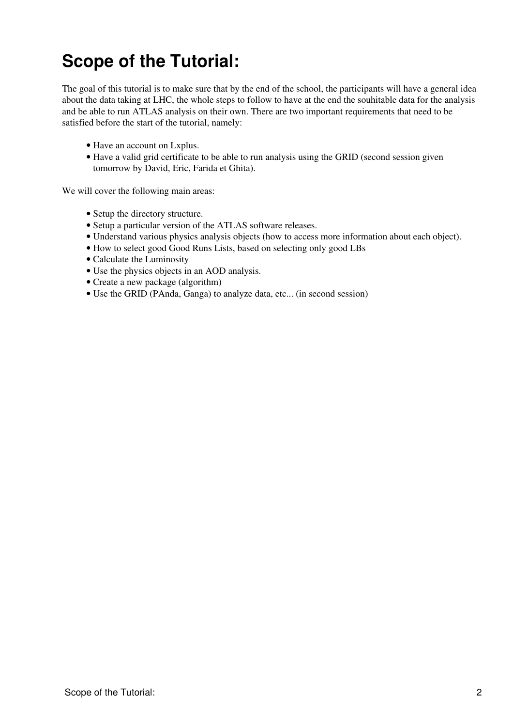# <span id="page-2-0"></span>**Scope of the Tutorial:**

The goal of this tutorial is to make sure that by the end of the school, the participants will have a general idea about the data taking at LHC, the whole steps to follow to have at the end the souhitable data for the analysis and be able to run ATLAS analysis on their own. There are two important requirements that need to be satisfied before the start of the tutorial, namely:

- Have an account on Lxplus.
- Have a valid grid certificate to be able to run analysis using the GRID (second session given tomorrow by David, Eric, Farida et Ghita).

We will cover the following main areas:

- Setup the directory structure.
- Setup a particular version of the ATLAS software releases.
- Understand various physics analysis objects (how to access more information about each object).
- How to select good Good Runs Lists, based on selecting only good LBs
- Calculate the Luminosity
- Use the physics objects in an AOD analysis.
- Create a new package (algorithm)
- Use the GRID (PAnda, Ganga) to analyze data, etc... (in second session)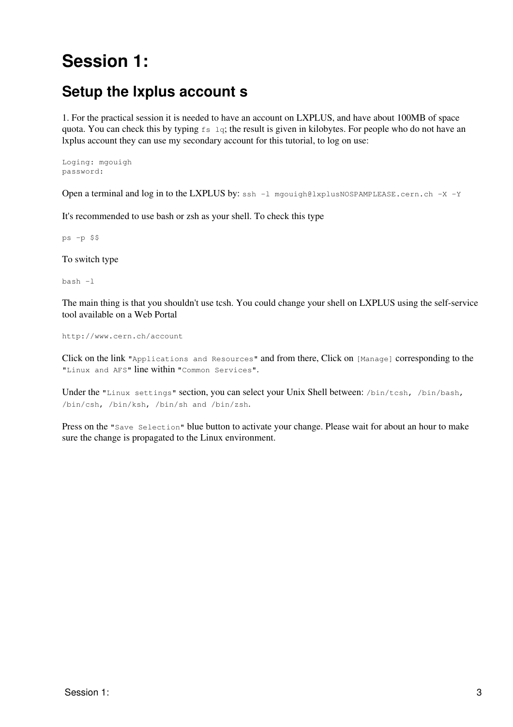# <span id="page-3-0"></span>**Session 1:**

### <span id="page-3-1"></span>**Setup the lxplus account s**

1. For the practical session it is needed to have an account on LXPLUS, and have about 100MB of space quota. You can check this by typing fs lq; the result is given in kilobytes. For people who do not have an lxplus account they can use my secondary account for this tutorial, to log on use:

Loging: mgouigh password:

Open a terminal and log in to the LXPLUS by: ssh -1 [mgouigh@lxplusNOSPAMPLEASE.cern.ch](mailto:mgouigh@lxplusNOSPAMPLEASE.cern.ch) -X -Y

It's recommended to use bash or zsh as your shell. To check this type

ps -p \$\$

To switch type

bash -l

The main thing is that you shouldn't use tcsh. You could change your shell on LXPLUS using the self-service tool available on a Web Portal

http://www.cern.ch/account

Click on the link "Applications and Resources" and from there, Click on [Manage] corresponding to the "Linux and AFS" line within "Common Services".

Under the "Linux settings" section, you can select your Unix Shell between: /bin/tcsh, /bin/bash, /bin/csh, /bin/ksh, /bin/sh and /bin/zsh.

Press on the "Save Selection" blue button to activate your change. Please wait for about an hour to make sure the change is propagated to the Linux environment.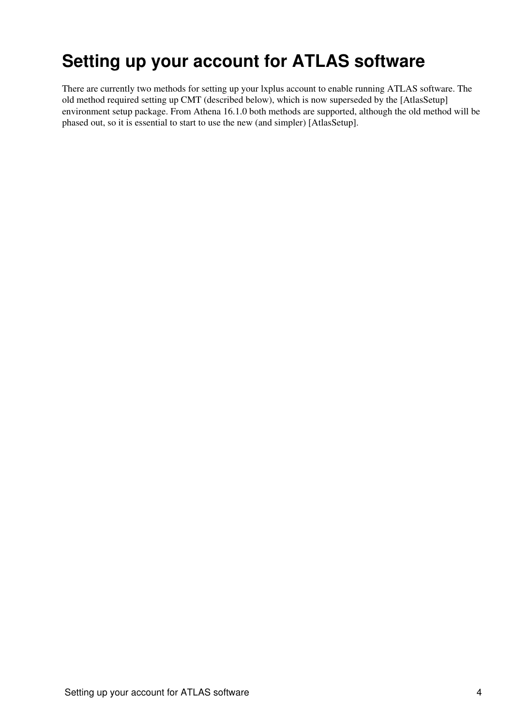## <span id="page-4-0"></span>**Setting up your account for ATLAS software**

There are currently two methods for setting up your lxplus account to enable running ATLAS software. The old method required setting up CMT (described below), which is now superseded by the [AtlasSetup] environment setup package. From Athena 16.1.0 both methods are supported, although the old method will be phased out, so it is essential to start to use the new (and simpler) [AtlasSetup].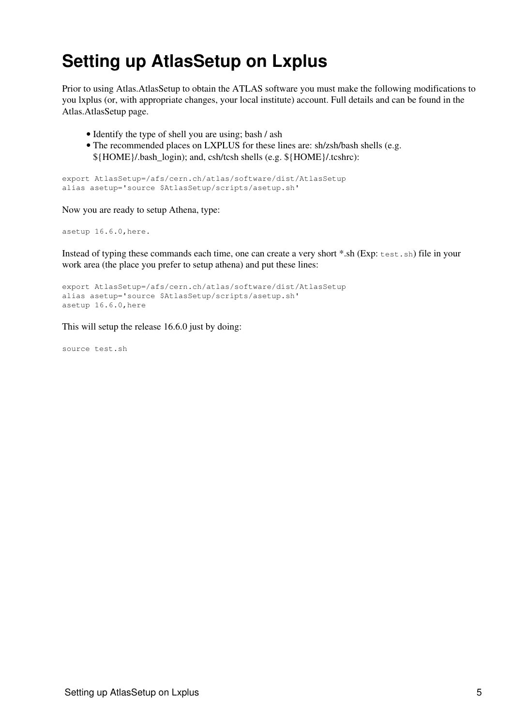# <span id="page-5-0"></span>**Setting up AtlasSetup on Lxplus**

Prior to using Atlas.AtlasSetup to obtain the ATLAS software you must make the following modifications to you lxplus (or, with appropriate changes, your local institute) account. Full details and can be found in the Atlas.AtlasSetup page.

- Identify the type of shell you are using; bash / ash
- The recommended places on LXPLUS for these lines are: sh/zsh/bash shells (e.g. \${HOME}/.bash\_login); and, csh/tcsh shells (e.g. \${HOME}/.tcshrc):

export AtlasSetup=/afs/cern.ch/atlas/software/dist/AtlasSetup alias asetup='source \$AtlasSetup/scripts/asetup.sh'

Now you are ready to setup Athena, type:

asetup 16.6.0,here.

Instead of typing these commands each time, one can create a very short \*.sh (Exp: test.sh) file in your work area (the place you prefer to setup athena) and put these lines:

```
export AtlasSetup=/afs/cern.ch/atlas/software/dist/AtlasSetup
alias asetup='source $AtlasSetup/scripts/asetup.sh'
asetup 16.6.0,here
```
This will setup the release 16.6.0 just by doing:

source test.sh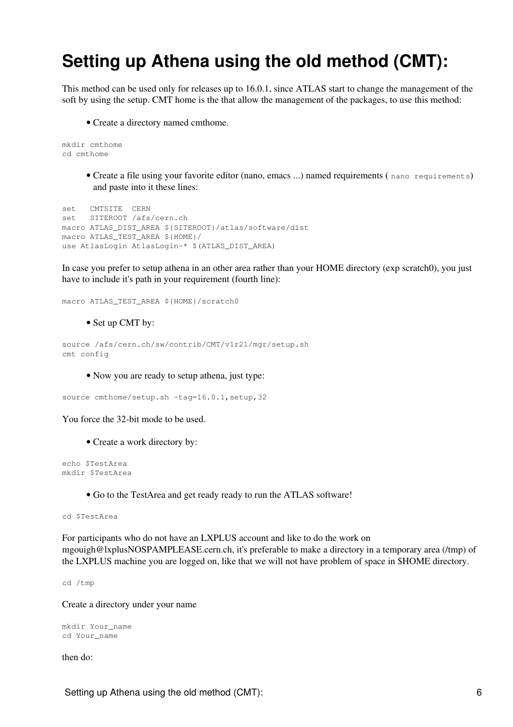## <span id="page-6-0"></span>**Setting up Athena using the old method (CMT):**

This method can be used only for releases up to 16.0.1, since ATLAS start to change the management of the soft by using the setup. CMT home is the that allow the management of the packages, to use this method:

• Create a directory named cmthome.

```
mkdir cmthome 
cd cmthome
```
Create a file using your favorite editor (nano, emacs ...) named requirements ( nano requirements) • and paste into it these lines:

```
set CMTSITE CERN 
set SITEROOT /afs/cern.ch 
macro ATLAS_DIST_AREA ${SITEROOT}/atlas/software/dist 
macro ATLAS_TEST_AREA ${HOME}/
use AtlasLogin AtlasLogin-* $(ATLAS_DIST_AREA)
```
In case you prefer to setup athena in an other area rather than your HOME directory (exp scratch0), you just have to include it's path in your requirement (fourth line):

macro ATLAS\_TEST\_AREA \${HOME}/scratch0

• Set up CMT by:

```
source /afs/cern.ch/sw/contrib/CMT/v1r21/mgr/setup.sh
cmt config
```
• Now you are ready to setup athena, just type:

source cmthome/setup.sh -tag=16.0.1, setup, 32

You force the 32-bit mode to be used.

• Create a work directory by:

```
echo $TestArea
mkdir $TestArea
```
• Go to the TestArea and get ready ready to run the ATLAS software!

cd \$TestArea

For participants who do not have an LXPLUS account and like to do the work on [mgouigh@lxplusNOSPAMPLEASE.cern.ch](mailto:mgouigh@lxplusNOSPAMPLEASE.cern.ch), it's preferable to make a directory in a temporary area (/tmp) of the LXPLUS machine you are logged on, like that we will not have problem of space in \$HOME directory.

cd /tmp

Create a directory under your name

```
mkdir Your_name
cd Your_name
```
then do: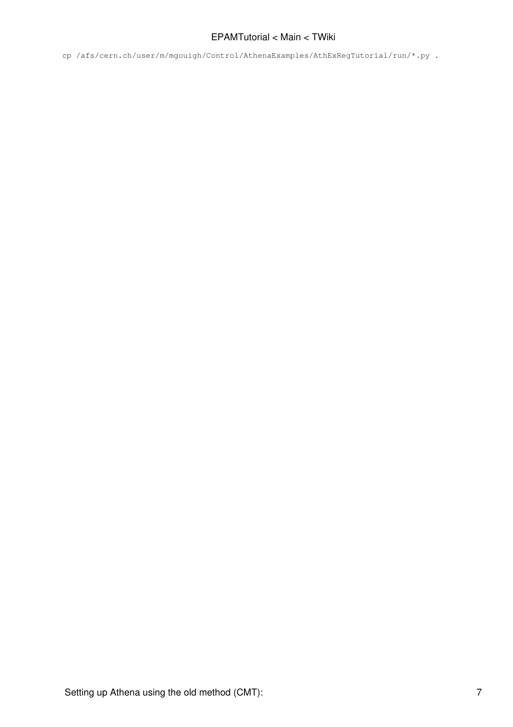cp /afs/cern.ch/user/m/mgouigh/Control/AthenaExamples/AthExRegTutorial/run/\*.py .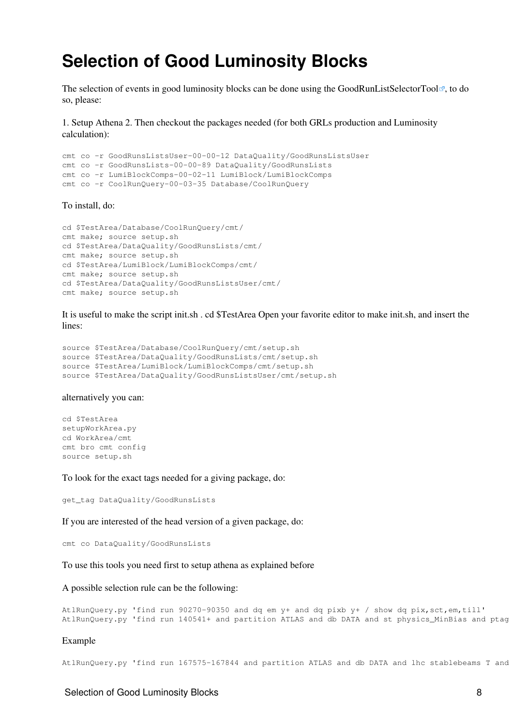### <span id="page-8-0"></span>**Selection of Good Luminosity Blocks**

The selection of events in good luminosity blocks can be done using the [GoodRunListSelectorTool](http://alxr.usatlas.bnl.gov/lxr-stb4/source/atlas/DataQuality/GoodRunsLists/GoodRunsLists/)<sup> $\mathbb{F}$ </sup>, to do so, please:

1. Setup Athena 2. Then checkout the packages needed (for both GRLs production and Luminosity calculation):

```
cmt co -r GoodRunsListsUser-00-00-12 DataQuality/GoodRunsListsUser
cmt co -r GoodRunsLists-00-00-89 DataQuality/GoodRunsLists
cmt co -r LumiBlockComps-00-02-11 LumiBlock/LumiBlockComps
cmt co -r CoolRunQuery-00-03-35 Database/CoolRunQuery
```
#### To install, do:

```
cd $TestArea/Database/CoolRunQuery/cmt/
cmt make; source setup.sh
cd $TestArea/DataQuality/GoodRunsLists/cmt/
cmt make; source setup.sh
cd $TestArea/LumiBlock/LumiBlockComps/cmt/
cmt make; source setup.sh
cd $TestArea/DataQuality/GoodRunsListsUser/cmt/
cmt make; source setup.sh
```
It is useful to make the script init.sh . cd \$TestArea Open your favorite editor to make init.sh, and insert the lines:

```
source $TestArea/Database/CoolRunQuery/cmt/setup.sh
source $TestArea/DataQuality/GoodRunsLists/cmt/setup.sh
source $TestArea/LumiBlock/LumiBlockComps/cmt/setup.sh
source $TestArea/DataQuality/GoodRunsListsUser/cmt/setup.sh
```
#### alternatively you can:

cd \$TestArea setupWorkArea.py cd WorkArea/cmt cmt bro cmt config source setup.sh

To look for the exact tags needed for a giving package, do:

get\_tag DataQuality/GoodRunsLists

If you are interested of the head version of a given package, do:

cmt co DataQuality/GoodRunsLists

To use this tools you need first to setup athena as explained before

#### A possible selection rule can be the following:

```
AtlRunQuery.py 'find run 90270-90350 and dq em y+ and dq pixb y+ / show dq pix,sct,em,till'
AtlRunQuery.py 'find run 140541+ and partition ATLAS and db DATA and st physics_MinBias and ptag
```
#### Example

```
AtlRunQuery.py 'find run 167575-167844 and partition ATLAS and db DATA and lhc stablebeams T and
```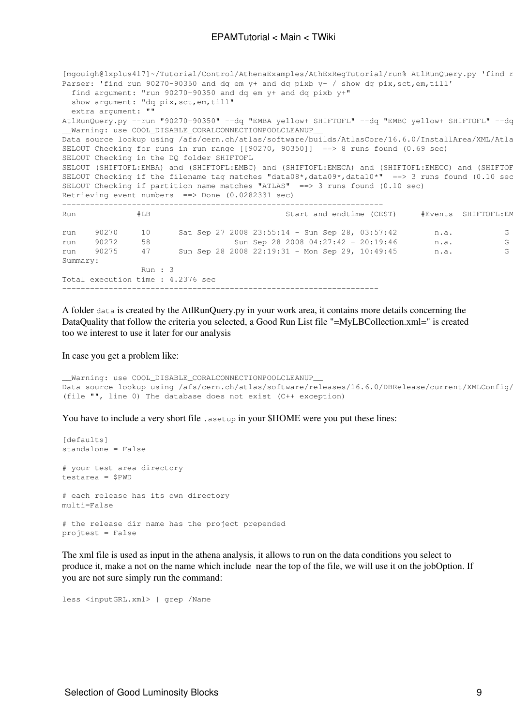[mgouigh@lxplus417]~/Tutorial/Control/AthenaExamples/AthExRegTutorial/run% AtlRunQuery.py 'find r Parser: 'find run 90270-90350 and dq em y+ and dq pixb y+ / show dq pix, sct, em, till' find argument: "run 90270-90350 and dq em y+ and dq pixb y+" show argument: "dq pix, sct, em, till" extra argument: "" AtlRunQuery.py --run "90270-90350" --dq "EMBA yellow+ SHIFTOFL" --dq "EMBC yellow+ SHIFTOFL" --dc Warning: use COOL DISABLE\_CORALCONNECTIONPOOLCLEANUP Data source lookup using /afs/cern.ch/atlas/software/builds/AtlasCore/16.6.0/InstallArea/XML/Atla SELOUT Checking for runs in run range  $[90270, 90350]$ ] = > 8 runs found (0.69 sec) SELOUT Checking in the DQ folder SHIFTOFL SELOUT (SHIFTOFL:EMBA) and (SHIFTOFL:EMBC) and (SHIFTOFL:EMECA) and (SHIFTOFL:EMECC) and (SHIFTOF SELOUT Checking if the filename tag matches "data08\*,data09\*,data10\*" ==> 3 runs found (0.10 sec SELOUT Checking if partition name matches "ATLAS"  $==$ > 3 runs found (0.10 sec) Retrieving event numbers ==> Done (0.0282331 sec) --------------------------------------------------------------------- Run #LB Start and endtime (CEST) #Events SHIFTOFL:EMBA SHIFTOFL:EMBC SHIFTOFL:EMECA SHIFTOFL:EMECC SHIFTOFL:PIXB SHIFTOFL:PIX0 SHIFTOFL:PIXEA SHIFTOFL:PIXEC SHIFTOFL:SCTB SHIFTOFL:SCTEA SHIFTOFL:SCTEC run 90270 10 Sat Sep 27 2008 23:55:14 - Sun Sep 28, 03:57:42 n.a. G Y G G G G G G G G G run 90272 58 Sun Sep 28 2008 04:27:42 - 20:19:46 n.a. G<br>
run 90275 47 Sun Sep 28 2008 22:19:31 - Mon Sep 29, 10:49:45 n.a. G run 90275 47 Sun Sep 28 2008 22:19:31 - Mon Sep 29, 10:49:45 n.a. G Summary: Run : 3 Total execution time : 4.2376 sec --------------------------------------------------------------------

A folder data is created by the AtlRunQuery.py in your work area, it contains more details concerning the DataQuality that follow the criteria you selected, a Good Run List file "=MyLBCollection.xml=" is created too we interest to use it later for our analysis

In case you get a problem like:

```
__Warning: use COOL_DISABLE_CORALCONNECTIONPOOLCLEANUP__
Data source lookup using /afs/cern.ch/atlas/software/releases/16.6.0/DBRelease/current/XMLConfig/
(file "", line 0) The database does not exist (C++ exception)
```
You have to include a very short file . as et up in your \$HOME were you put these lines:

[defaults] standalone = False # your test area directory testarea = \$PWD # each release has its own directory multi=False # the release dir name has the project prepended projtest = False

The xml file is used as input in the athena analysis, it allows to run on the data conditions you select to produce it, make a not on the name which include near the top of the file, we will use it on the jobOption. If you are not sure simply run the command:

less <inputGRL.xml> | grep /Name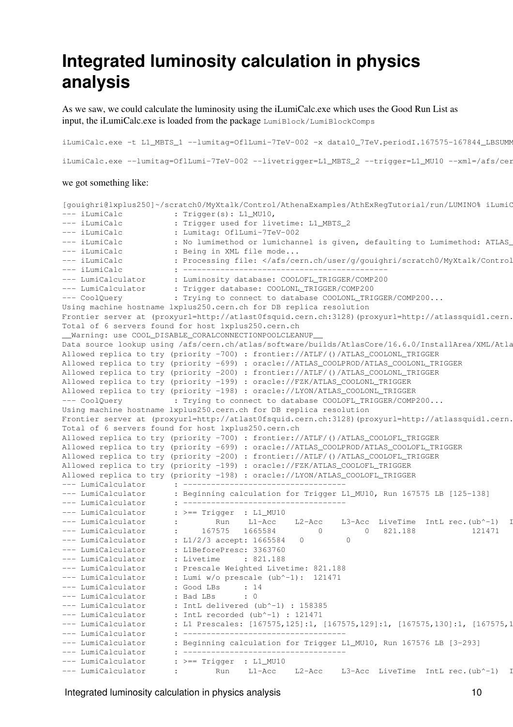### <span id="page-10-0"></span>**Integrated luminosity calculation in physics analysis**

As we saw, we could calculate the luminosity using the iLumiCalc.exe which uses the Good Run List as input, the iLumiCalc.exe is loaded from the package LumiBlock/LumiBlockComps

iLumiCalc.exe -t L1\_MBTS\_1 --lumitag=OflLumi-7TeV-002 -x data10\_7TeV.periodI.167575-167844\_LBSUMM iLumiCalc.exe --lumitag=OflLumi-7TeV-002 --livetrigger=L1\_MBTS\_2 --trigger=L1\_MU10 --xml=/afs/cer

#### we got something like:

```
[gouighri@lxplus250]~/scratch0/MyXtalk/Control/AthenaExamples/AthExRegTutorial/run/LUMINO% iLumiC
--- iLumiCalc : Trigger(s): L1_MU10,<br>--- iLumiCalc : Trigger used for liv
--- iLumiCalc : Trigger used for livetime: L1_MBTS_2<br>--- iLumiCalc : Lumitag: OflLumi-7TeV-002
                      : Lumitag: OflLumi-7TeV-002
--- iLumiCalc : No lumimethod or lumichannel is given, defaulting to Lumimethod: ATLAS
--- iLumiCalc : Being in XML file mode...
--- iLumiCalc : Processing file: </afs/cern.ch/user/g/gouighri/scratch0/MyXtalk/Control/AthenaExamples/AthExRegTutorial/run/data10_7TeV.periodI.167575-167844_LBSUMM_DetStatus-v03-repro05-00_muon_7TeV.xml>
--- iLumiCalc : --------------------------------------------
--- LumiCalculator : Luminosity database: COOLOFL_TRIGGER/COMP200
--- LumiCalculator : Trigger database: COOLONL_TRIGGER/COMP200
--- CoolQuery : Trying to connect to database COOLONL_TRIGGER/COMP200...
Using machine hostname lxplus250.cern.ch for DB replica resolution
Frontier server at (proxyurl=http://atlast0fsquid.cern.ch:3128)(proxyurl=http://atlassquid1.cern.
Total of 6 servers found for host lxplus250.cern.ch
__Warning: use COOL_DISABLE_CORALCONNECTIONPOOLCLEANUP__
Data source lookup using /afs/cern.ch/atlas/software/builds/AtlasCore/16.6.0/InstallArea/XML/Atla
Allowed replica to try (priority -700) : frontier://ATLF/()/ATLAS_COOLONL_TRIGGER
Allowed replica to try (priority -699) : oracle://ATLAS_COOLPROD/ATLAS_COOLONL_TRIGGER
Allowed replica to try (priority -200) : frontier://ATLF/()/ATLAS_COOLONL_TRIGGER
Allowed replica to try (priority -199) : oracle://FZK/ATLAS_COOLONL_TRIGGER
Allowed replica to try (priority -198) : oracle://LYON/ATLAS_COOLONL_TRIGGER
--- CoolQuery : Trying to connect to database COOLOFL_TRIGGER/COMP200...
Using machine hostname lxplus250.cern.ch for DB replica resolution
Frontier server at (proxyurl=http://atlast0fsquid.cern.ch:3128)(proxyurl=http://atlassquid1.cern.
Total of 6 servers found for host lxplus250.cern.ch
Allowed replica to try (priority -700) : frontier://ATLF/()/ATLAS_COOLOFL_TRIGGER
Allowed replica to try (priority -699) : oracle://ATLAS_COOLPROD/ATLAS_COOLOFL_TRIGGER
Allowed replica to try (priority -200) : frontier://ATLF/()/ATLAS_COOLOFL_TRIGGER
Allowed replica to try (priority -199) : oracle://FZK/ATLAS_COOLOFL_TRIGGER
Allowed replica to try (priority -198) : oracle://LYON/ATLAS_COOLOFL_TRIGGER
 --- LumiCalculator : -----------------------------------
--- LumiCalculator : Beginning calculation for Trigger L1_MU10, Run 167575 LB [125-138]
--- LumiCalculator : -----------------------------------
                       \div \geq = Trigger \div L1_MU10
--- LumiCalculator : Run L1-Acc L2-Acc L3-Acc LiveTime IntL rec.(ub^-1) I
--- LumiCalculator : 167575 1665584 0 0 821.188 121471
--- LumiCalculator : L1/2/3 accept: 1665584 0 0
--- LumiCalculator : L1BeforePresc: 3363760
--- LumiCalculator : Livetime : 821.188
--- LumiCalculator : Prescale Weighted Livetime: 821.188
--- LumiCalculator : Lumi w/o prescale (ub^-1): 121471
--- LumiCalculator : Good LBs : 14
--- LumiCalculator : Bad LBs : 0
--- LumiCalculator : IntL delivered (ub^-1) : 158385
--- LumiCalculator : IntL recorded (ub^-1) : 121471
--- LumiCalculator : L1 Prescales: [167575,125]:1, [167575,129]:1, [167575,130]:1, [167575,134]:1, 
--- LumiCalculator : -----------------------------------
--- LumiCalculator : Beginning calculation for Trigger L1_MU10, Run 167576 LB [3-293]
--- LumiCalculator : -----------------------------------
--- LumiCalculator : >== Trigger : L1_MU10
--- LumiCalculator : Run L1-Acc L2-Acc L3-Acc LiveTime IntL rec.(ub^-1) I
```
Integrated luminosity calculation in physics analysis 10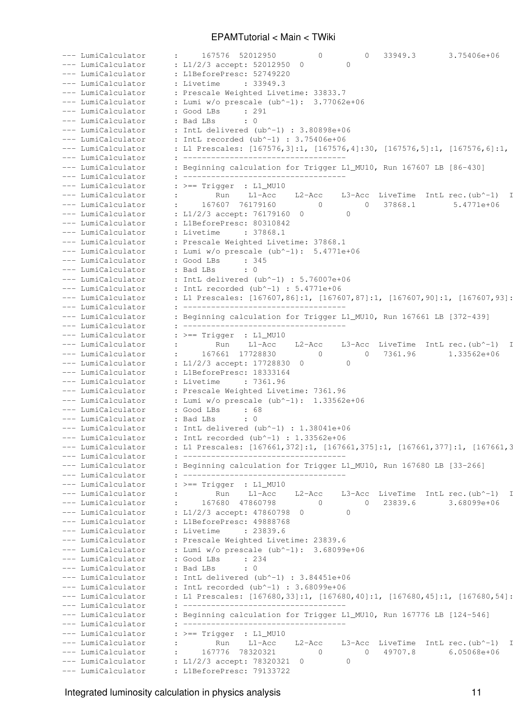| --- LumiCalculator                       | : 167576 52012950<br>0 0 33949.3<br>3.75406e+06                                                                               |
|------------------------------------------|-------------------------------------------------------------------------------------------------------------------------------|
| --- LumiCalculator                       | : L1/2/3 accept: 52012950 0                                                                                                   |
| --- LumiCalculator                       | : L1BeforePresc: 52749220                                                                                                     |
| -- LumiCalculator                        | : Livetime : 33949.3                                                                                                          |
| - LumiCalculator                         | : Prescale Weighted Livetime: 33833.7                                                                                         |
| - LumiCalculator                         | : Lumi w/o prescale $(ub^{\wedge}-1)$ : 3.77062e+06                                                                           |
| --- LumiCalculator                       |                                                                                                                               |
| -- LumiCalculator                        | : Bad LBs : 0                                                                                                                 |
| LumiCalculator                           | : IntL delivered (ub^-1) : $3.80898e+06$                                                                                      |
| - LumiCalculator                         | : IntL recorded (ub^-1) : $3.75406e+06$                                                                                       |
| - LumiCalculator                         | : L1 Prescales: [167576,3]:1, [167576,4]:30, [167576,5]:1, [167576,6]:1,                                                      |
| -- LumiCalculator                        |                                                                                                                               |
| -- LumiCalculator                        | : Beginning calculation for Trigger L1_MU10, Run 167607 LB [86-430]                                                           |
| -- LumiCalculator                        |                                                                                                                               |
| - LumiCalculator                         | $\;\;$ : $> ==$ Trigger : L1_MU10                                                                                             |
| - LumiCalculator                         | Run L1-Acc L2-Acc L3-Acc LiveTime IntL rec. (ub^-1) I                                                                         |
| -- LumiCalculator                        | : 167607 76179160<br>0 0 37868.1<br>5.4771e+06                                                                                |
| -- LumiCalculator                        | : L1/2/3 accept: 76179160 0<br>$\sim$ 0                                                                                       |
| --- LumiCalculator                       | : L1BeforePresc: 80310842                                                                                                     |
| - LumiCalculator                         | : Livetime : 37868.1                                                                                                          |
| -- LumiCalculator                        | : Prescale Weighted Livetime: 37868.1                                                                                         |
| --- LumiCalculator                       | : Lumi $w/o$ prescale $(ub^{\wedge}-1)$ : 5.4771e+06                                                                          |
| --- LumiCalculator                       | : Good LBs : 345                                                                                                              |
| --- LumiCalculator                       | : Bad LBs : 0                                                                                                                 |
| -- LumiCalculator                        | : IntL delivered (ub^-1) : $5.76007e+06$                                                                                      |
| --- LumiCalculator<br>--- LumiCalculator | : IntL recorded $(ub^{\wedge}-1)$ : $5.4771e+06$<br>: L1 Prescales: [167607,86]:1, [167607,87]:1, [167607,90]:1, [167607,93]: |
| --- LumiCalculator                       |                                                                                                                               |
| --- LumiCalculator                       | : Beginning calculation for Trigger L1_MU10, Run 167661 LB [372-439]                                                          |
| --- LumiCalculator                       |                                                                                                                               |
| --- LumiCalculator                       | $\;\; : \; \; \texttt{ ==}$ Trigger $\;\; : \;$ L1_MU10                                                                       |
| --- LumiCalculator                       | : Run L1-Acc L2-Acc L3-Acc LiveTime IntL rec. (ub^-1) I                                                                       |
| --- LumiCalculator                       | : 167661 17728830<br>0 0 7361.96 1.33562e+06                                                                                  |
| -- LumiCalculator                        | : L1/2/3 accept: 17728830 0<br>$\sim$ 0                                                                                       |
| - LumiCalculator                         | : L1BeforePresc: 18333164                                                                                                     |
| -- LumiCalculator                        | : Livetime : 7361.96                                                                                                          |
| --- LumiCalculator                       | : Prescale Weighted Livetime: 7361.96                                                                                         |
| -- LumiCalculator                        | : Lumi w/o prescale $(ub^{\wedge}-1)$ : 1.33562e+06                                                                           |
| LumiCalculator                           | : Good LBs : 68                                                                                                               |
| LumiCalculator                           | : Bad LBs : 0                                                                                                                 |
| - LumiCalculator                         | : IntL delivered (ub^-1) : $1.38041e+06$                                                                                      |
|                                          | --- LumiCalculator : IntL recorded (ub^-1) : 1.33562e+06                                                                      |
| --- LumiCalculator                       | : L1 Prescales: [167661, 372]:1, [167661, 375]:1, [167661, 377]:1, [167661, 3                                                 |
| --- LumiCalculator                       | : Beginning calculation for Trigger L1_MU10, Run 167680 LB [33-266]                                                           |
| - LumiCalculator                         |                                                                                                                               |
| - LumiCalculator<br>- LumiCalculator     | $\cdot$ $>=$ Trigger $\cdot$ L1_MU10                                                                                          |
| - LumiCalculator                         | : Run L1-Acc L2-Acc L3-Acc LiveTime IntL rec. (ub^-1) I                                                                       |
| - LumiCalculator                         | : 167680 47860798<br>0 0 23839.6 3.68099e+06                                                                                  |
| - LumiCalculator                         | : L1/2/3 accept: 47860798 0 0                                                                                                 |
| - LumiCalculator                         | : L1BeforePresc: 49888768                                                                                                     |
| -- LumiCalculator                        | : Livetime : 23839.6                                                                                                          |
| -- LumiCalculator                        | : Prescale Weighted Livetime: 23839.6                                                                                         |
| - LumiCalculator                         | : Lumi w/o prescale $(ub^{\wedge}-1)$ : 3.68099e+06                                                                           |
| - LumiCalculator                         | : Good LBs : 234                                                                                                              |
| -- LumiCalculator                        | : Bad LBs : 0                                                                                                                 |
| --- LumiCalculator                       | : IntL delivered (ub^-1) : $3.84451e+06$                                                                                      |
| --- LumiCalculator                       | : IntL recorded (ub^-1) : $3.68099e+06$                                                                                       |
| --- LumiCalculator                       | : L1 Prescales: [167680,33]:1, [167680,40]:1, [167680,45]:1, [167680,54]:                                                     |
| --- LumiCalculator                       |                                                                                                                               |
| --- LumiCalculator                       | : Beginning calculation for Trigger L1_MU10, Run 167776 LB [124-546]                                                          |
| --- LumiCalculator                       |                                                                                                                               |
| --- LumiCalculator                       | $\cdot$ >== Trigger $\cdot$ L1_MU10                                                                                           |
| --- LumiCalculator                       | : Run L1-Acc L2-Acc L3-Acc LiveTime IntL rec. (ub^-1) I                                                                       |
| - LumiCalculator                         | : 167776 78320321<br>0 0 49707.8 6.05068e+06                                                                                  |
| -- LumiCalculator                        | : L1/2/3 accept: 78320321 0<br>$\sim$ 0                                                                                       |
|                                          | --- LumiCalculator : L1BeforePresc: 79133722                                                                                  |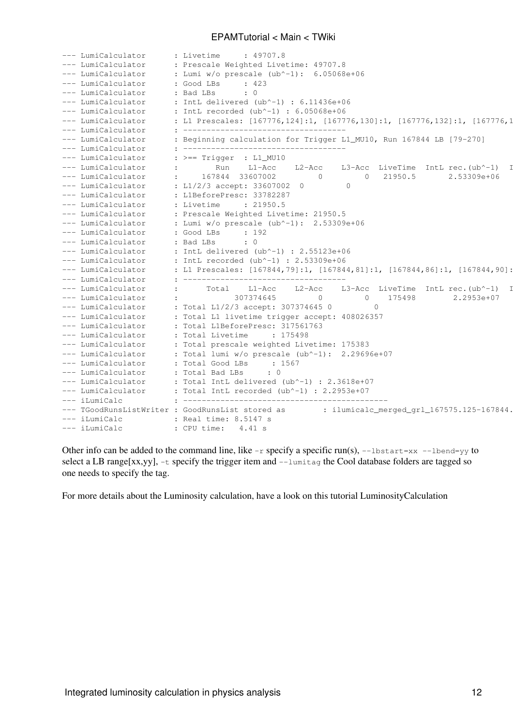| --- LumiCalculator | : 49707.8<br>: Livetime                                                                       |
|--------------------|-----------------------------------------------------------------------------------------------|
| --- LumiCalculator | : Prescale Weighted Livetime: 49707.8                                                         |
| --- LumiCalculator | : Lumi $w/o$ prescale (ub^-1): $6.05068e+06$                                                  |
| --- LumiCalculator | : Good LBs<br>: 423                                                                           |
| --- LumiCalculator | $\cdot$ 0<br>: Bad LBs                                                                        |
| --- LumiCalculator | : IntL delivered (ub^-1) : $6.11436e+06$                                                      |
| --- LumiCalculator | : IntL recorded (ub^-1) : $6.05068e+06$                                                       |
| --- LumiCalculator | : L1 Prescales: [167776,124]:1, [167776,130]:1, [167776,132]:1, [167776,1                     |
| --- LumiCalculator |                                                                                               |
| --- LumiCalculator | : Beginning calculation for Trigger L1_MU10, Run 167844 LB [79-270]                           |
| --- LumiCalculator |                                                                                               |
|                    |                                                                                               |
| --- LumiCalculator | $\therefore$ >== Trigger : L1_MU10                                                            |
| --- LumiCalculator | $L1 - Acc$<br>L2-Acc<br>L3-Acc LiveTime IntL rec.(ub^-1)<br>Run<br>: 167844 33607002          |
| --- LumiCalculator | 2.53309e+06<br>21950.5<br>$\overline{0}$<br>$\bigcap$                                         |
| --- LumiCalculator | : L1/2/3 accept: 33607002 0                                                                   |
| --- LumiCalculator | : L1BeforePresc: 33782287                                                                     |
| --- LumiCalculator | : Livetime : 21950.5                                                                          |
| --- LumiCalculator | : Prescale Weighted Livetime: 21950.5                                                         |
| --- LumiCalculator | : Lumi $w/o$ prescale $(ub^{\wedge}-1)$ : 2.53309e+06                                         |
| --- LumiCalculator | : 192<br>: Good LBs                                                                           |
| --- LumiCalculator | $\cdot$ 0<br>: Bad LBs                                                                        |
| --- LumiCalculator | : IntL delivered (ub^-1) : 2.55123e+06                                                        |
| --- LumiCalculator | : IntL recorded (ub^-1) : 2.53309e+06                                                         |
| --- LumiCalculator | : L1 Prescales: [167844,79]:1, [167844,81]:1, [167844,86]:1, [167844,90]:                     |
| --- LumiCalculator |                                                                                               |
| --- LumiCalculator | L3-Acc LiveTime IntL rec. (ub^-1)<br>Total L1-Acc<br>L2-Acc                                   |
| --- LumiCalculator | 307374645<br>175498<br>2.2953e+07<br>$\circ$                                                  |
| --- LumiCalculator | : Total L1/2/3 accept: 307374645 0                                                            |
| --- LumiCalculator | : Total L1 livetime trigger accept: 408026357                                                 |
| --- LumiCalculator | : Total L1BeforePresc: 317561763                                                              |
| --- LumiCalculator | : Total Livetime<br>: 175498                                                                  |
| --- LumiCalculator | : Total prescale weighted Livetime: 175383                                                    |
| --- LumiCalculator | : Total lumi w/o prescale (ub^-1): 2.29696e+07                                                |
| --- LumiCalculator | : Total Good LBs<br>: 1567                                                                    |
| --- LumiCalculator | $\cdot$ 0<br>: Total Bad LBs                                                                  |
| --- LumiCalculator | : Total IntL delivered (ub^-1) : 2.3618e+07                                                   |
| --- LumiCalculator | : Total IntL recorded (ub^-1) : $2.2953e+07$                                                  |
| --- iLumiCalc      |                                                                                               |
|                    | --- TGoodRunsListWriter : GoodRunsList stored as<br>: ilumicalc_merged_grl_167575.125-167844. |
| --- iLumiCalc      | : Real time: 8.5147 s                                                                         |
| --- iLumiCalc      | : CPU time: $4.41$ s                                                                          |
|                    |                                                                                               |

Other info can be added to the command line, like  $-r$  specify a specific run(s),  $-$ lbstart=xx  $-$ lbend=yy to select a LB range[xx,yy], -t specify the trigger item and --lumitag the Cool database folders are tagged so one needs to specify the tag.

For more details about the Luminosity calculation, have a look on this tutorial [LuminosityCalculation](https://twiki.cern.ch/twiki/bin/view/Atlas/CoolLumiCalcTutorial#Exercise_1_Using_i_LumiCalc_exe)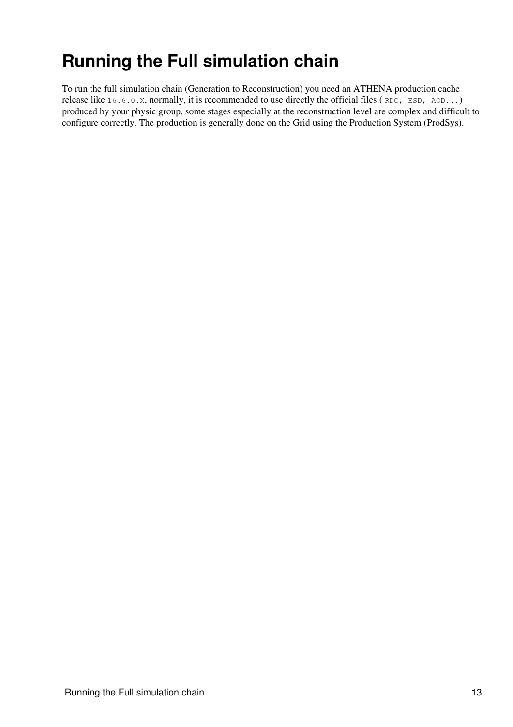## <span id="page-13-0"></span>**Running the Full simulation chain**

To run the full simulation chain (Generation to Reconstruction) you need an ATHENA production cache release like 16.6.0.X, normally, it is recommended to use directly the official files ( RDO, ESD, AOD...) produced by your physic group, some stages especially at the reconstruction level are complex and difficult to configure correctly. The production is generally done on the Grid using the Production System (ProdSys).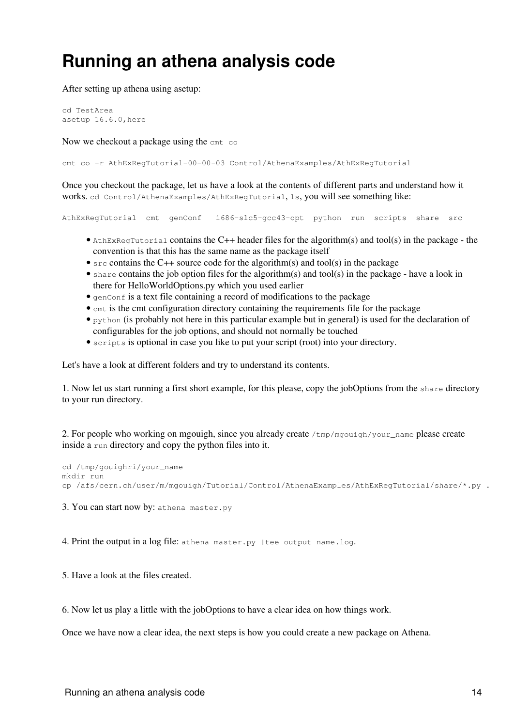## <span id="page-14-0"></span>**Running an athena analysis code**

After setting up athena using asetup:

cd TestArea asetup 16.6.0,here

Now we checkout a package using the cmt co.

cmt co -r AthExRegTutorial-00-00-03 Control/AthenaExamples/AthExRegTutorial

Once you checkout the package, let us have a look at the contents of different parts and understand how it works. cd Control/AthenaExamples/AthExRegTutorial, ls, you will see something like:

AthExRegTutorial cmt genConf i686-slc5-gcc43-opt python run scripts share src

- AthExRegTutorial contains the C++ header files for the algorithm(s) and tool(s) in the package the convention is that this has the same name as the package itself
- $\epsilon$  src contains the C++ source code for the algorithm(s) and tool(s) in the package
- share contains the job option files for the algorithm(s) and tool(s) in the package have a look in there for HelloWorldOptions.py which you used earlier
- $\bullet$  genConf is a text file containing a record of modifications to the package
- cmt is the cmt configuration directory containing the requirements file for the package
- python (is probably not here in this particular example but in general) is used for the declaration of configurables for the job options, and should not normally be touched
- scripts is optional in case you like to put your script (root) into your directory.

Let's have a look at different folders and try to understand its contents.

1. Now let us start running a first short example, for this please, copy the jobOptions from the share directory to your run directory.

2. For people who working on mgouigh, since you already create  $/\text{tmp}/\text{mqouigh}/\text{your\_name}$  please create inside a run directory and copy the python files into it.

```
cd /tmp/gouighri/your_name
mkdir run
cp /afs/cern.ch/user/m/mgouigh/Tutorial/Control/AthenaExamples/AthExRegTutorial/share/*.py .
```
3. You can start now by: athena master.py

4. Print the output in a log file: athena master.py | tee output\_name.log.

5. Have a look at the files created.

6. Now let us play a little with the jobOptions to have a clear idea on how things work.

Once we have now a clear idea, the next steps is how you could create a new package on Athena.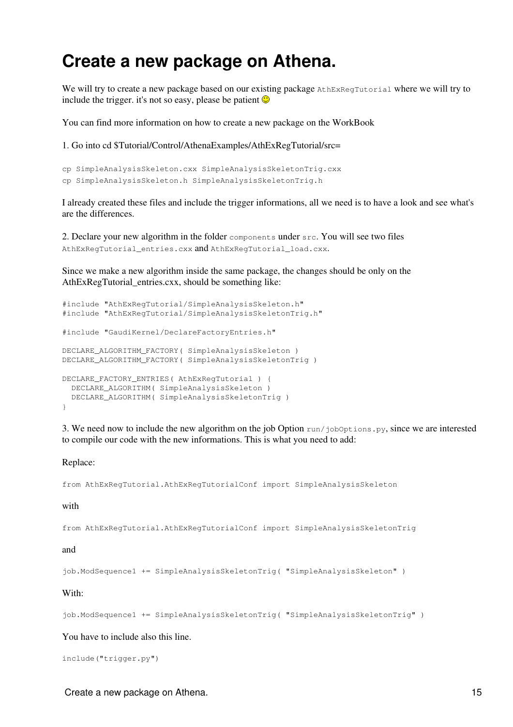### <span id="page-15-0"></span>**Create a new package on Athena.**

We will try to create a new package based on our existing package AthExRegTutorial where we will try to include the trigger. it's not so easy, please be patient  $\odot$ 

You can find more information on how to create a new package on the [WorkBook](https://twiki.cern.ch/twiki/bin/edit/Atlas/WorkBookCreatingNewPackage?topicparent=Main.EPAMTutorial;nowysiwyg=1)

1. Go into cd \$Tutorial/Control/AthenaExamples/AthExRegTutorial/src=

```
cp SimpleAnalysisSkeleton.cxx SimpleAnalysisSkeletonTrig.cxx
cp SimpleAnalysisSkeleton.h SimpleAnalysisSkeletonTrig.h
```
I already created these files and include the trigger informations, all we need is to have a look and see what's are the differences.

2. Declare your new algorithm in the folder components under src. You will see two files AthExRegTutorial\_entries.cxx and AthExRegTutorial\_load.cxx.

Since we make a new algorithm inside the same package, the changes should be only on the AthExRegTutorial\_entries.cxx, should be something like:

```
#include "AthExRegTutorial/SimpleAnalysisSkeleton.h"
#include "AthExRegTutorial/SimpleAnalysisSkeletonTrig.h"
#include "GaudiKernel/DeclareFactoryEntries.h"
DECLARE_ALGORITHM_FACTORY( SimpleAnalysisSkeleton )
DECLARE_ALGORITHM_FACTORY( SimpleAnalysisSkeletonTrig )
DECLARE_FACTORY_ENTRIES( AthExRegTutorial ) {
  DECLARE_ALGORITHM( SimpleAnalysisSkeleton )
  DECLARE_ALGORITHM( SimpleAnalysisSkeletonTrig )
}
```
3. We need now to include the new algorithm on the job Option  $run/jobOptions.py$ , since we are interested to compile our code with the new informations. This is what you need to add:

#### Replace:

from AthExRegTutorial.AthExRegTutorialConf import SimpleAnalysisSkeleton

#### with

from AthExRegTutorial.AthExRegTutorialConf import SimpleAnalysisSkeletonTrig

#### and

job.ModSequence1 += SimpleAnalysisSkeletonTrig( "SimpleAnalysisSkeleton" )

#### With:

```
job.ModSequence1 += SimpleAnalysisSkeletonTrig( "SimpleAnalysisSkeletonTrig" )
```
#### You have to include also this line.

```
include("trigger.py")
```
#### Create a new package on Athena. 15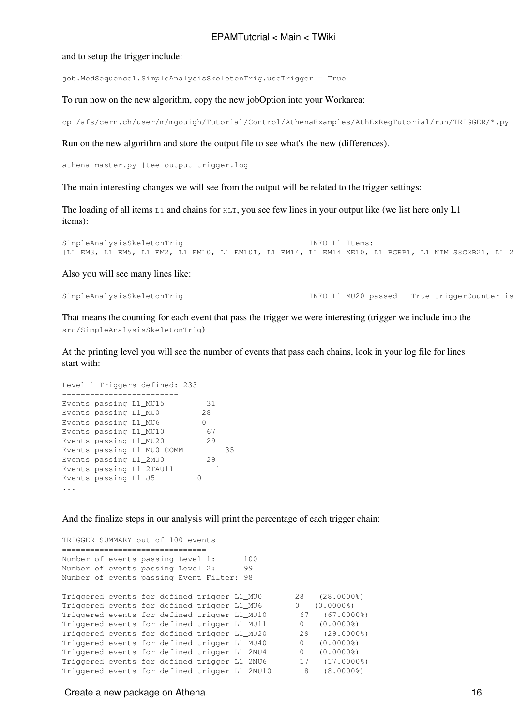and to setup the trigger include:

job.ModSequence1.SimpleAnalysisSkeletonTrig.useTrigger = True

To run now on the new algorithm, copy the new jobOption into your Workarea:

cp /afs/cern.ch/user/m/mgouigh/Tutorial/Control/AthenaExamples/AthExRegTutorial/run/TRIGGER/\*.py .

Run on the new algorithm and store the output file to see what's the new (differences).

athena master.py |tee output\_trigger.log

The main interesting changes we will see from the output will be related to the trigger settings:

The loading of all items L1 and chains for HLT, you see few lines in your output like (we list here only L1 items):

SimpleAnalysisSkeletonTrig<br>[L1 EM3, L1 EM5, L1 EM2, L1 EM10, L1 EM10I, L1 EM14, L1 EM14 XE10, L1 BGRP1, L1 NIM S8C2B21, L1 2 [L1\_EM3, L1\_EM5, L1\_EM2, L1\_EM10, L1\_EM10I, L1\_EM14, L1\_EM14\_XE10, L1\_BGRP1, L1\_NIM\_S8C2B21, L1\_2

Also you will see many lines like:

SimpleAnalysisSkeletonTrig  $I\ NPO$  L1\_MU20 passed - True triggerCounter is

That means the counting for each event that pass the trigger we were interesting (trigger we include into the src/SimpleAnalysisSkeletonTrig)

At the printing level you will see the number of events that pass each chains, look in your log file for lines start with:

```
Level-1 Triggers defined: 233
-------------------------
Events passing L1_MU15 31
Events passing L1_MU0 28<br>Events passing L1_MU6 0
Events passing L1_MU6 0
Events passing L1_MU10 67
Events passing L1_MU20 29
Events passing L1_MU0_COMM 35
Events passing L1_2MU0 29
Events passing L1_2TAU11 1
Events passing L1 J5 0
...
```
And the finalize steps in our analysis will print the percentage of each trigger chain:

TRIGGER SUMMARY out of 100 events =================================== Number of events passing Level 1: 100 Number of events passing Level 2: 99 Number of events passing Event Filter: 98 Triggered events for defined trigger L1\_MU0 28 (28.0000%) Triggered events for defined trigger L1\_MU6 0 (0.0000%) Triggered events for defined trigger L1\_MU10 67 (67.0000%) Triggered events for defined trigger L1\_MU11 0 (0.0000%) Triggered events for defined trigger L1\_MU20 29 (29.0000%) Triggered events for defined trigger L1\_MU40 0 (0.0000%) Triggered events for defined trigger L1\_2MU4 0 (0.0000%) Triggered events for defined trigger L1\_2MU6 17 (17.0000%) Triggered events for defined trigger L1\_2MU10 8 (8.0000%)

Create a new package on Athena. 16